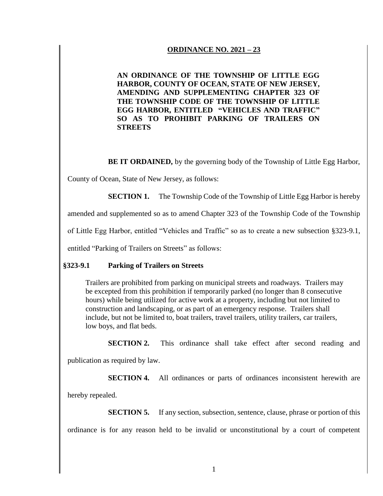## **ORDINANCE NO. 2021 – 23**

**AN ORDINANCE OF THE TOWNSHIP OF LITTLE EGG HARBOR, COUNTY OF OCEAN, STATE OF NEW JERSEY, AMENDING AND SUPPLEMENTING CHAPTER 323 OF THE TOWNSHIP CODE OF THE TOWNSHIP OF LITTLE EGG HARBOR, ENTITLED "VEHICLES AND TRAFFIC" SO AS TO PROHIBIT PARKING OF TRAILERS ON STREETS**

**BE IT ORDAINED,** by the governing body of the Township of Little Egg Harbor,

County of Ocean, State of New Jersey, as follows:

**SECTION 1.** The Township Code of the Township of Little Egg Harbor is hereby

amended and supplemented so as to amend Chapter 323 of the Township Code of the Township

of Little Egg Harbor, entitled "Vehicles and Traffic" so as to create a new subsection §323-9.1,

entitled "Parking of Trailers on Streets" as follows:

## **§323-9.1 Parking of Trailers on Streets**

Trailers are prohibited from parking on municipal streets and roadways. Trailers may be excepted from this prohibition if temporarily parked (no longer than 8 consecutive hours) while being utilized for active work at a property, including but not limited to construction and landscaping, or as part of an emergency response. Trailers shall include, but not be limited to, boat trailers, travel trailers, utility trailers, car trailers, low boys, and flat beds.

**SECTION 2.** This ordinance shall take effect after second reading and

publication as required by law.

**SECTION 4.** All ordinances or parts of ordinances inconsistent herewith are

hereby repealed.

**SECTION 5.** If any section, subsection, sentence, clause, phrase or portion of this ordinance is for any reason held to be invalid or unconstitutional by a court of competent